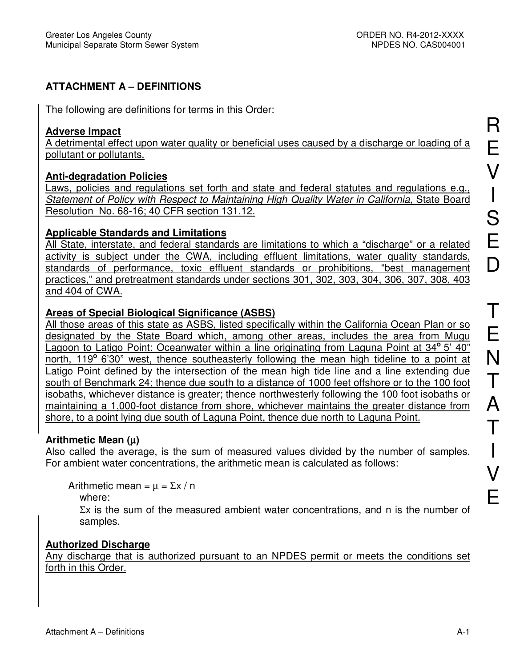# **ATTACHMENT A – DEFINITIONS**

The following are definitions for terms in this Order:

#### **Adverse Impact**

A detrimental effect upon water quality or beneficial uses caused by a discharge or loading of a pollutant or pollutants.

# **Anti-degradation Policies**

Laws, policies and regulations set forth and state and federal statutes and regulations e.g., Statement of Policy with Respect to Maintaining High Quality Water in California, State Board Resolution No. 68-16; 40 CFR section 131.12.

# **Applicable Standards and Limitations**

All State, interstate, and federal standards are limitations to which a "discharge" or a related activity is subject under the CWA, including effluent limitations, water quality standards, standards of performance, toxic effluent standards or prohibitions, "best management practices," and pretreatment standards under sections 301, 302, 303, 304, 306, 307, 308, 403 and 404 of CWA.

# **Areas of Special Biological Significance (ASBS)**

All those areas of this state as ASBS, listed specifically within the California Ocean Plan or so designated by the State Board which, among other areas, includes the area from Mugu Lagoon to Latigo Point: Oceanwater within a line originating from Laguna Point at 34° 5' 40" north, 119**<sup>o</sup>**6'30" west, thence southeasterly following the mean high tideline to a point at Latigo Point defined by the intersection of the mean high tide line and a line extending due south of Benchmark 24; thence due south to a distance of 1000 feet offshore or to the 100 foot isobaths, whichever distance is greater; thence northwesterly following the 100 foot isobaths or maintaining a 1,000-foot distance from shore, whichever maintains the greater distance from shore, to a point lying due south of Laguna Point, thence due north to Laguna Point.

# **Arithmetic Mean (**µ**)**

Also called the average, is the sum of measured values divided by the number of samples. For ambient water concentrations, the arithmetic mean is calculated as follows:

Arithmetic mean =  $\mu$  =  $\Sigma x / n$ 

where:

 $\Sigma x$  is the sum of the measured ambient water concentrations, and n is the number of samples.

# **Authorized Discharge**

Any discharge that is authorized pursuant to an NPDES permit or meets the conditions set forth in this Order.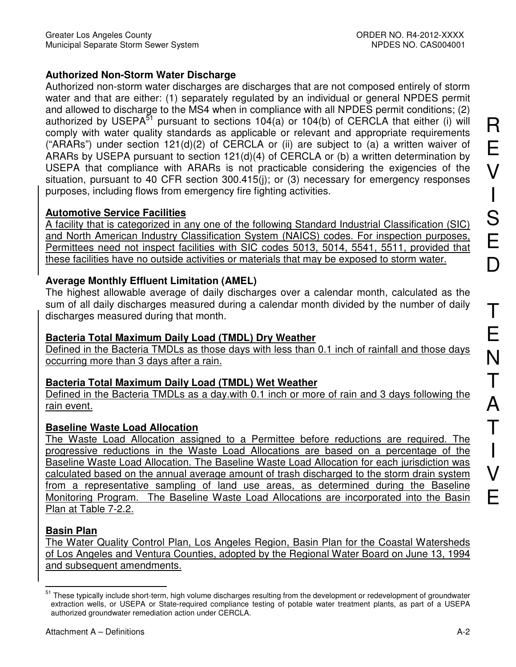# **Authorized Non-Storm Water Discharge**

Authorized non-storm water discharges are discharges that are not composed entirely of storm water and that are either: (1) separately regulated by an individual or general NPDES permit and allowed to discharge to the MS4 when in compliance with all NPDES permit conditions; (2) authorized by USEPA $^{51}$  pursuant to sections 104(a) or 104(b) of CERCLA that either (i) will comply with water quality standards as applicable or relevant and appropriate requirements ("ARARs") under section 121(d)(2) of CERCLA or (ii) are subject to (a) a written waiver of ARARs by USEPA pursuant to section  $121(d)(4)$  of CERCLA or (b) a written determination by USEPA that compliance with ARARs is not practicable considering the exigencies of the situation, pursuant to 40 CFR section 300.415(j); or (3) necessary for emergency responses purposes, including flows from emergency fire fighting activities.

# **Automotive Service Facilities**

A facility that is categorized in any one of the following Standard Industrial Classification (SIC) and North American Industry Classification System (NAICS) codes. For inspection purposes, Permittees need not inspect facilities with SIC codes 5013, 5014, 5541, 5511, provided that these facilities have no outside activities or materials that may be exposed to storm water.

# **Average Monthly Effluent Limitation (AMEL)**

The highest allowable average of daily discharges over a calendar month, calculated as the sum of all daily discharges measured during a calendar month divided by the number of daily discharges measured during that month.

# **Bacteria Total Maximum Daily Load (TMDL) Dry Weather**

Defined in the Bacteria TMDLs as those days with less than 0.1 inch of rainfall and those days occurring more than 3 days after a rain.

# **Bacteria Total Maximum Daily Load (TMDL) Wet Weather**

Defined in the Bacteria TMDLs as a day.with 0.1 inch or more of rain and 3 days following the rain event.

# **Baseline Waste Load Allocation**

The Waste Load Allocation assigned to a Permittee before reductions are required. The progressive reductions in the Waste Load Allocations are based on a percentage of the Baseline Waste Load Allocation. The Baseline Waste Load Allocation for each jurisdiction was calculated based on the annual average amount of trash discharged to the storm drain system from a representative sampling of land use areas, as determined during the Baseline Monitoring Program. The Baseline Waste Load Allocations are incorporated into the Basin Plan at Table 7-2.2.

# **Basin Plan**

The Water Quality Control Plan, Los Angeles Region, Basin Plan for the Coastal Watersheds of Los Angeles and Ventura Counties, adopted by the Regional Water Board on June 13, 1994 and subsequent amendments.

 $\overline{a}$ <sup>51</sup> These typically include short-term, high volume discharges resulting from the development or redevelopment of groundwater extraction wells, or USEPA or State-required compliance testing of potable water treatment plants, as part of a USEPA authorized groundwater remediation action under CERCLA.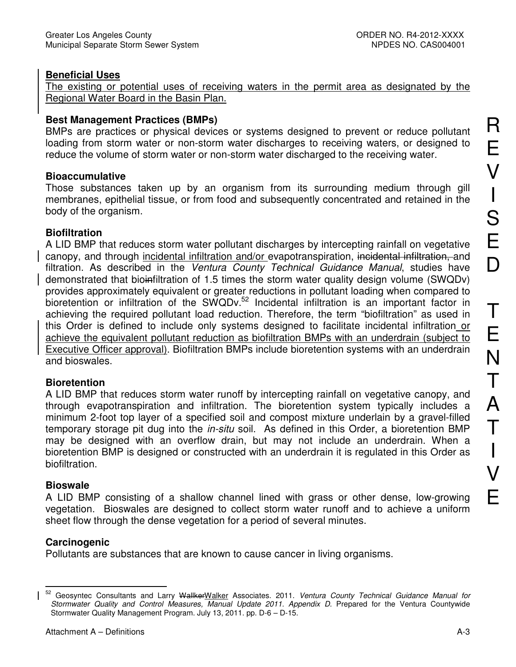#### **Beneficial Uses**

The existing or potential uses of receiving waters in the permit area as designated by the Regional Water Board in the Basin Plan.

#### **Best Management Practices (BMPs)**

BMPs are practices or physical devices or systems designed to prevent or reduce pollutant loading from storm water or non-storm water discharges to receiving waters, or designed to reduce the volume of storm water or non-storm water discharged to the receiving water.

#### **Bioaccumulative**

Those substances taken up by an organism from its surrounding medium through gill membranes, epithelial tissue, or from food and subsequently concentrated and retained in the body of the organism.

#### **Biofiltration**

A LID BMP that reduces storm water pollutant discharges by intercepting rainfall on vegetative canopy, and through incidental infiltration and/or evapotranspiration, incidental infiltration, and filtration. As described in the Ventura County Technical Guidance Manual, studies have demonstrated that bioinfiltration of 1.5 times the storm water quality design volume (SWQDv) provides approximately equivalent or greater reductions in pollutant loading when compared to  $\overline{b}$  bioretention or infiltration of the SWQDv.<sup>52</sup> Incidental infiltration is an important factor in achieving the required pollutant load reduction. Therefore, the term "biofiltration" as used in this Order is defined to include only systems designed to facilitate incidental infiltration or achieve the equivalent pollutant reduction as biofiltration BMPs with an underdrain (subject to Executive Officer approval). Biofiltration BMPs include bioretention systems with an underdrain and bioswales.

#### **Bioretention**

A LID BMP that reduces storm water runoff by intercepting rainfall on vegetative canopy, and through evapotranspiration and infiltration. The bioretention system typically includes a minimum 2-foot top layer of a specified soil and compost mixture underlain by a gravel-filled temporary storage pit dug into the *in-situ* soil. As defined in this Order, a bioretention BMP may be designed with an overflow drain, but may not include an underdrain. When a bioretention BMP is designed or constructed with an underdrain it is regulated in this Order as biofiltration.

#### **Bioswale**

A LID BMP consisting of a shallow channel lined with grass or other dense, low-growing vegetation. Bioswales are designed to collect storm water runoff and to achieve a uniform sheet flow through the dense vegetation for a period of several minutes.

#### **Carcinogenic**

Pollutants are substances that are known to cause cancer in living organisms.

 $\overline{a}$ <sup>52</sup> Geosyntec Consultants and Larry <del>Wallker</del>Walker Associates. 2011. Ventura County Technical Guidance Manual for Stormwater Quality and Control Measures, Manual Update 2011. Appendix D. Prepared for the Ventura Countywide Stormwater Quality Management Program. July 13, 2011. pp. D-6 – D-15.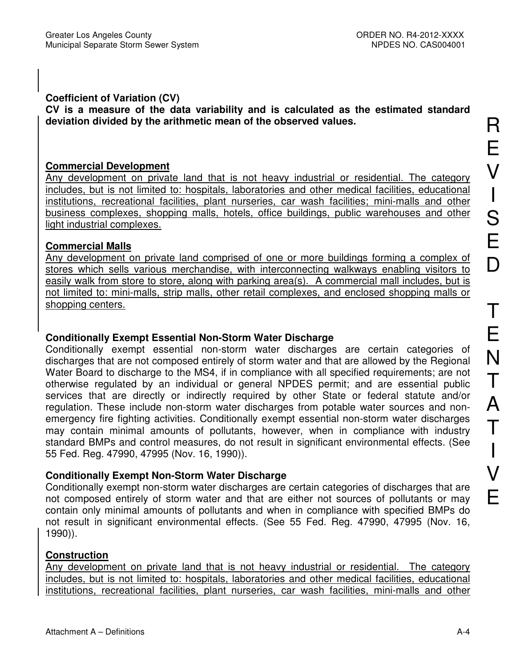## **Coefficient of Variation (CV)**

**CV is a measure of the data variability and is calculated as the estimated standard deviation divided by the arithmetic mean of the observed values.** 

#### **Commercial Development**

Any development on private land that is not heavy industrial or residential. The category includes, but is not limited to: hospitals, laboratories and other medical facilities, educational institutions, recreational facilities, plant nurseries, car wash facilities; mini-malls and other business complexes, shopping malls, hotels, office buildings, public warehouses and other light industrial complexes.

### **Commercial Malls**

Any development on private land comprised of one or more buildings forming a complex of stores which sells various merchandise, with interconnecting walkways enabling visitors to easily walk from store to store, along with parking area(s). A commercial mall includes, but is not limited to: mini-malls, strip malls, other retail complexes, and enclosed shopping malls or shopping centers.

# **Conditionally Exempt Essential Non-Storm Water Discharge**

Conditionally exempt essential non-storm water discharges are certain categories of discharges that are not composed entirely of storm water and that are allowed by the Regional Water Board to discharge to the MS4, if in compliance with all specified requirements; are not otherwise regulated by an individual or general NPDES permit; and are essential public services that are directly or indirectly required by other State or federal statute and/or regulation. These include non-storm water discharges from potable water sources and nonemergency fire fighting activities. Conditionally exempt essential non-storm water discharges may contain minimal amounts of pollutants, however, when in compliance with industry standard BMPs and control measures, do not result in significant environmental effects. (See 55 Fed. Reg. 47990, 47995 (Nov. 16, 1990)).

# **Conditionally Exempt Non-Storm Water Discharge**

Conditionally exempt non-storm water discharges are certain categories of discharges that are not composed entirely of storm water and that are either not sources of pollutants or may contain only minimal amounts of pollutants and when in compliance with specified BMPs do not result in significant environmental effects. (See 55 Fed. Reg. 47990, 47995 (Nov. 16, 1990)).

# **Construction**

Any development on private land that is not heavy industrial or residential. The category includes, but is not limited to: hospitals, laboratories and other medical facilities, educational institutions, recreational facilities, plant nurseries, car wash facilities, mini-malls and other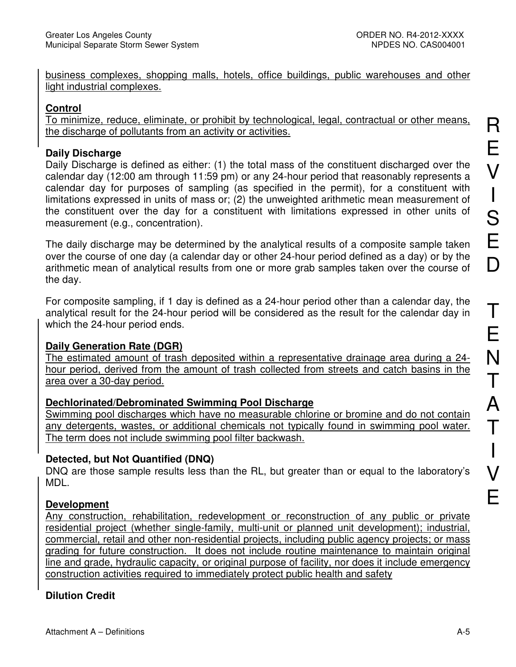business complexes, shopping malls, hotels, office buildings, public warehouses and other light industrial complexes.

# **Control**

To minimize, reduce, eliminate, or prohibit by technological, legal, contractual or other means, the discharge of pollutants from an activity or activities.

# **Daily Discharge**

Daily Discharge is defined as either: (1) the total mass of the constituent discharged over the calendar day (12:00 am through 11:59 pm) or any 24-hour period that reasonably represents a calendar day for purposes of sampling (as specified in the permit), for a constituent with limitations expressed in units of mass or; (2) the unweighted arithmetic mean measurement of the constituent over the day for a constituent with limitations expressed in other units of measurement (e.g., concentration).

The daily discharge may be determined by the analytical results of a composite sample taken over the course of one day (a calendar day or other 24-hour period defined as a day) or by the arithmetic mean of analytical results from one or more grab samples taken over the course of the day.

For composite sampling, if 1 day is defined as a 24-hour period other than a calendar day, the analytical result for the 24-hour period will be considered as the result for the calendar day in which the 24-hour period ends.

# **Daily Generation Rate (DGR)**

The estimated amount of trash deposited within a representative drainage area during a 24 hour period, derived from the amount of trash collected from streets and catch basins in the area over a 30-day period.

# **Dechlorinated/Debrominated Swimming Pool Discharge**

Swimming pool discharges which have no measurable chlorine or bromine and do not contain any detergents, wastes, or additional chemicals not typically found in swimming pool water. The term does not include swimming pool filter backwash.

# **Detected, but Not Quantified (DNQ)**

DNQ are those sample results less than the RL, but greater than or equal to the laboratory's MDL.

# **Development**

Any construction, rehabilitation, redevelopment or reconstruction of any public or private residential project (whether single-family, multi-unit or planned unit development); industrial, commercial, retail and other non-residential projects, including public agency projects; or mass grading for future construction. It does not include routine maintenance to maintain original line and grade, hydraulic capacity, or original purpose of facility, nor does it include emergency construction activities required to immediately protect public health and safety

# **Dilution Credit**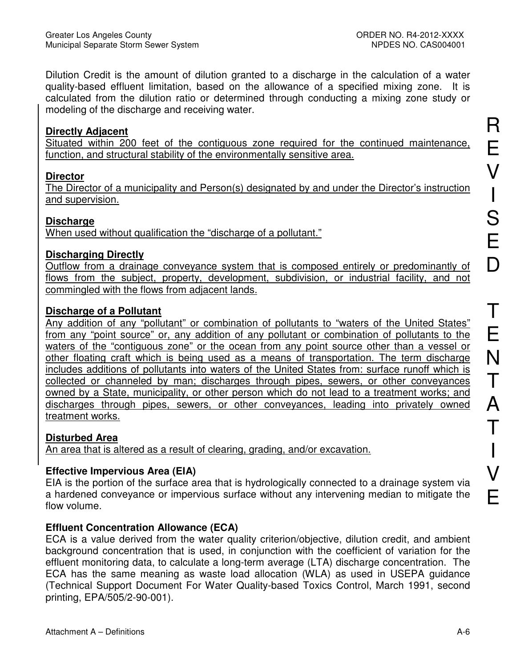Dilution Credit is the amount of dilution granted to a discharge in the calculation of a water quality-based effluent limitation, based on the allowance of a specified mixing zone. It is calculated from the dilution ratio or determined through conducting a mixing zone study or modeling of the discharge and receiving water.

#### **Directly Adjacent**

Situated within 200 feet of the contiguous zone required for the continued maintenance, function, and structural stability of the environmentally sensitive area.

### **Director**

The Director of a municipality and Person(s) designated by and under the Director's instruction and supervision.

#### **Discharge**

When used without qualification the "discharge of a pollutant."

### **Discharging Directly**

Outflow from a drainage conveyance system that is composed entirely or predominantly of flows from the subject, property, development, subdivision, or industrial facility, and not commingled with the flows from adjacent lands.

# **Discharge of a Pollutant**

Any addition of any "pollutant" or combination of pollutants to "waters of the United States" from any "point source" or, any addition of any pollutant or combination of pollutants to the waters of the "contiguous zone" or the ocean from any point source other than a vessel or other floating craft which is being used as a means of transportation. The term discharge includes additions of pollutants into waters of the United States from: surface runoff which is collected or channeled by man; discharges through pipes, sewers, or other conveyances owned by a State, municipality, or other person which do not lead to a treatment works; and discharges through pipes, sewers, or other conveyances, leading into privately owned treatment works.

# **Disturbed Area**

An area that is altered as a result of clearing, grading, and/or excavation.

# **Effective Impervious Area (EIA)**

EIA is the portion of the surface area that is hydrologically connected to a drainage system via a hardened conveyance or impervious surface without any intervening median to mitigate the flow volume.

# **Effluent Concentration Allowance (ECA)**

ECA is a value derived from the water quality criterion/objective, dilution credit, and ambient background concentration that is used, in conjunction with the coefficient of variation for the effluent monitoring data, to calculate a long-term average (LTA) discharge concentration. The ECA has the same meaning as waste load allocation (WLA) as used in USEPA guidance (Technical Support Document For Water Quality-based Toxics Control, March 1991, second printing, EPA/505/2-90-001).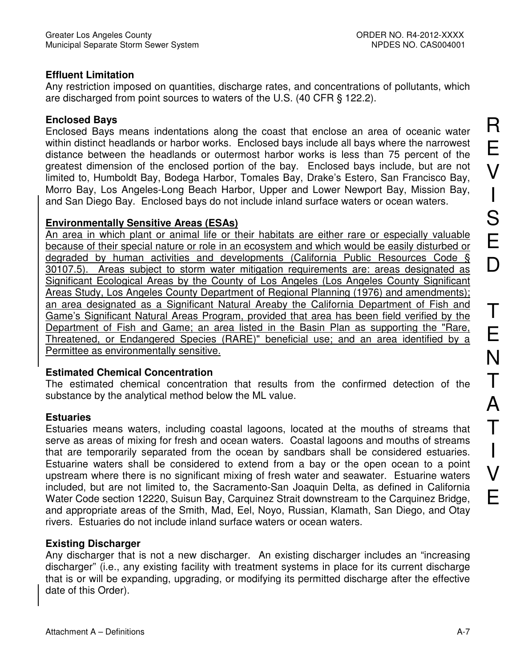#### **Effluent Limitation**

Any restriction imposed on quantities, discharge rates, and concentrations of pollutants, which are discharged from point sources to waters of the U.S. (40 CFR § 122.2).

#### **Enclosed Bays**

Enclosed Bays means indentations along the coast that enclose an area of oceanic water within distinct headlands or harbor works. Enclosed bays include all bays where the narrowest distance between the headlands or outermost harbor works is less than 75 percent of the greatest dimension of the enclosed portion of the bay. Enclosed bays include, but are not limited to, Humboldt Bay, Bodega Harbor, Tomales Bay, Drake's Estero, San Francisco Bay, Morro Bay, Los Angeles-Long Beach Harbor, Upper and Lower Newport Bay, Mission Bay, and San Diego Bay. Enclosed bays do not include inland surface waters or ocean waters.

#### **Environmentally Sensitive Areas (ESAs)**

An area in which plant or animal life or their habitats are either rare or especially valuable because of their special nature or role in an ecosystem and which would be easily disturbed or degraded by human activities and developments (California Public Resources Code § 30107.5). Areas subject to storm water mitigation requirements are: areas designated as Significant Ecological Areas by the County of Los Angeles (Los Angeles County Significant Areas Study, Los Angeles County Department of Regional Planning (1976) and amendments); an area designated as a Significant Natural Areaby the California Department of Fish and Game's Significant Natural Areas Program, provided that area has been field verified by the Department of Fish and Game; an area listed in the Basin Plan as supporting the "Rare, Threatened, or Endangered Species (RARE)" beneficial use; and an area identified by a Permittee as environmentally sensitive.

#### **Estimated Chemical Concentration**

The estimated chemical concentration that results from the confirmed detection of the substance by the analytical method below the ML value.

#### **Estuaries**

Estuaries means waters, including coastal lagoons, located at the mouths of streams that serve as areas of mixing for fresh and ocean waters. Coastal lagoons and mouths of streams that are temporarily separated from the ocean by sandbars shall be considered estuaries. Estuarine waters shall be considered to extend from a bay or the open ocean to a point upstream where there is no significant mixing of fresh water and seawater. Estuarine waters included, but are not limited to, the Sacramento-San Joaquin Delta, as defined in California Water Code section 12220, Suisun Bay, Carquinez Strait downstream to the Carquinez Bridge, and appropriate areas of the Smith, Mad, Eel, Noyo, Russian, Klamath, San Diego, and Otay rivers. Estuaries do not include inland surface waters or ocean waters.

#### **Existing Discharger**

Any discharger that is not a new discharger. An existing discharger includes an "increasing discharger" (i.e., any existing facility with treatment systems in place for its current discharge that is or will be expanding, upgrading, or modifying its permitted discharge after the effective date of this Order).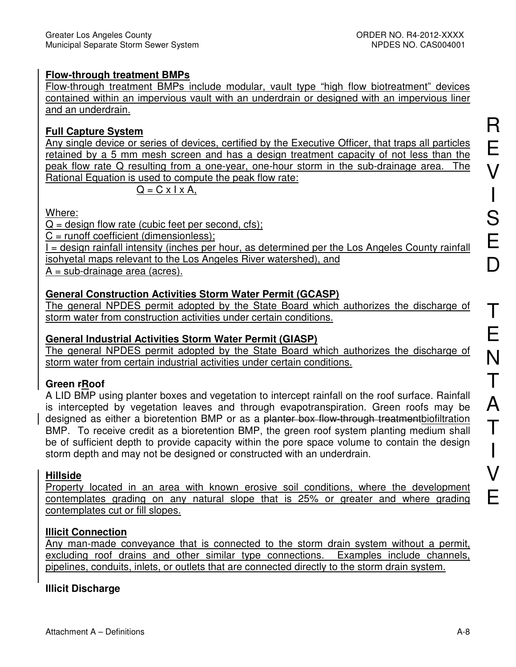# **Flow-through treatment BMPs**

Flow-through treatment BMPs include modular, vault type "high flow biotreatment" devices contained within an impervious vault with an underdrain or designed with an impervious liner and an underdrain.

# **Full Capture System**

Any single device or series of devices, certified by the Executive Officer, that traps all particles retained by a 5 mm mesh screen and has a design treatment capacity of not less than the peak flow rate Q resulting from a one-year, one-hour storm in the sub-drainage area. The Rational Equation is used to compute the peak flow rate:

$$
Q = C \times I \times A,
$$

Where:

 $Q =$  design flow rate (cubic feet per second, cfs);

 $C =$  runoff coefficient (dimensionless);

I = design rainfall intensity (inches per hour, as determined per the Los Angeles County rainfall isohyetal maps relevant to the Los Angeles River watershed), and

 $A = sub-drain = area (acres).$ 

# **General Construction Activities Storm Water Permit (GCASP)**

The general NPDES permit adopted by the State Board which authorizes the discharge of storm water from construction activities under certain conditions.

## **General Industrial Activities Storm Water Permit (GIASP)**

The general NPDES permit adopted by the State Board which authorizes the discharge of storm water from certain industrial activities under certain conditions.

# **Green rRoof**

A LID BMP using planter boxes and vegetation to intercept rainfall on the roof surface. Rainfall is intercepted by vegetation leaves and through evapotranspiration. Green roofs may be designed as either a bioretention BMP or as a planter box flow-through treatmentbiofiltration BMP. To receive credit as a bioretention BMP, the green roof system planting medium shall be of sufficient depth to provide capacity within the pore space volume to contain the design storm depth and may not be designed or constructed with an underdrain.

# **Hillside**

Property located in an area with known erosive soil conditions, where the development contemplates grading on any natural slope that is 25% or greater and where grading contemplates cut or fill slopes.

# **Illicit Connection**

Any man-made conveyance that is connected to the storm drain system without a permit, excluding roof drains and other similar type connections. Examples include channels, pipelines, conduits, inlets, or outlets that are connected directly to the storm drain system.

# **Illicit Discharge**

I

V

E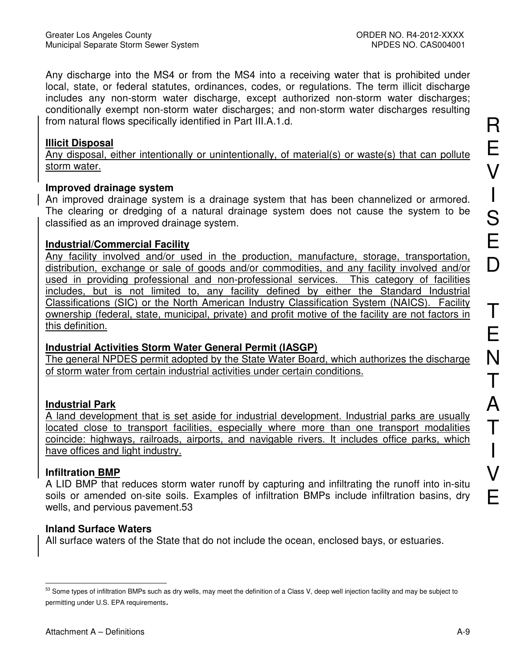Any discharge into the MS4 or from the MS4 into a receiving water that is prohibited under local, state, or federal statutes, ordinances, codes, or regulations. The term illicit discharge includes any non-storm water discharge, except authorized non-storm water discharges; conditionally exempt non-storm water discharges; and non-storm water discharges resulting from natural flows specifically identified in Part III.A.1.d.

#### **Illicit Disposal**

Any disposal, either intentionally or unintentionally, of material(s) or waste(s) that can pollute storm water.

#### **Improved drainage system**

An improved drainage system is a drainage system that has been channelized or armored. The clearing or dredging of a natural drainage system does not cause the system to be classified as an improved drainage system.

#### **Industrial/Commercial Facility**

Any facility involved and/or used in the production, manufacture, storage, transportation, distribution, exchange or sale of goods and/or commodities, and any facility involved and/or used in providing professional and non-professional services. This category of facilities includes, but is not limited to, any facility defined by either the Standard Industrial Classifications (SIC) or the North American Industry Classification System (NAICS). Facility ownership (federal, state, municipal, private) and profit motive of the facility are not factors in this definition.

#### **Industrial Activities Storm Water General Permit (IASGP)**

The general NPDES permit adopted by the State Water Board, which authorizes the discharge of storm water from certain industrial activities under certain conditions.

# **Industrial Park**

A land development that is set aside for industrial development. Industrial parks are usually located close to transport facilities, especially where more than one transport modalities coincide: highways, railroads, airports, and navigable rivers. It includes office parks, which have offices and light industry.

# **Infiltration BMP**

A LID BMP that reduces storm water runoff by capturing and infiltrating the runoff into in-situ soils or amended on-site soils. Examples of infiltration BMPs include infiltration basins, dry wells, and pervious pavement.53

#### **Inland Surface Waters**

All surface waters of the State that do not include the ocean, enclosed bays, or estuaries.

 $\overline{a}$  $53$  Some types of infiltration BMPs such as dry wells, may meet the definition of a Class V, deep well injection facility and may be subject to permitting under U.S. EPA requirements.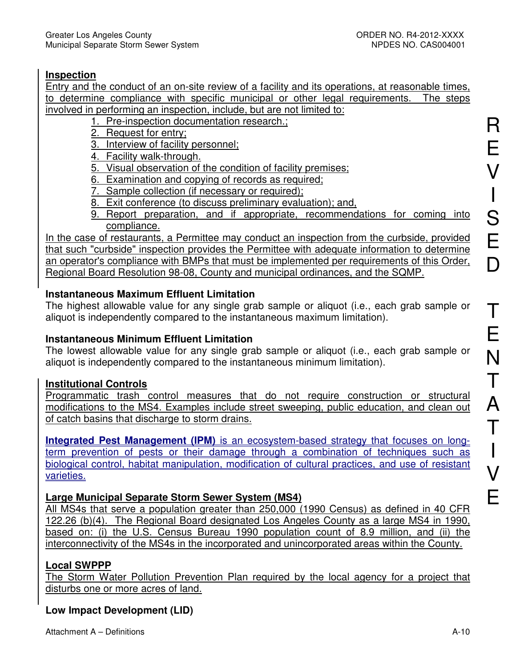## **Inspection**

Entry and the conduct of an on-site review of a facility and its operations, at reasonable times, to determine compliance with specific municipal or other legal requirements. The steps involved in performing an inspection, include, but are not limited to:

- 1. Pre-inspection documentation research.;
- 2. Request for entry;
- 3. Interview of facility personnel;

4. Facility walk-through.

- 5. Visual observation of the condition of facility premises;
- 6. Examination and copying of records as required;
- 7. Sample collection (if necessary or required);
- 8. Exit conference (to discuss preliminary evaluation); and,
- 9. Report preparation, and if appropriate, recommendations for coming into compliance.

In the case of restaurants, a Permittee may conduct an inspection from the curbside, provided that such "curbside" inspection provides the Permittee with adequate information to determine an operator's compliance with BMPs that must be implemented per requirements of this Order, Regional Board Resolution 98-08, County and municipal ordinances, and the SQMP.

# **Instantaneous Maximum Effluent Limitation**

The highest allowable value for any single grab sample or aliquot (i.e., each grab sample or aliquot is independently compared to the instantaneous maximum limitation).

# **Instantaneous Minimum Effluent Limitation**

The lowest allowable value for any single grab sample or aliquot (i.e., each grab sample or aliquot is independently compared to the instantaneous minimum limitation).

#### **Institutional Controls**

Programmatic trash control measures that do not require construction or structural modifications to the MS4. Examples include street sweeping, public education, and clean out of catch basins that discharge to storm drains.

**Integrated Pest Management (IPM)** is an ecosystem-based strategy that focuses on longterm prevention of pests or their damage through a combination of techniques such as biological control, habitat manipulation, modification of cultural practices, and use of resistant varieties.

# **Large Municipal Separate Storm Sewer System (MS4)**

All MS4s that serve a population greater than 250,000 (1990 Census) as defined in 40 CFR 122.26 (b)(4). The Regional Board designated Los Angeles County as a large MS4 in 1990, based on: (i) the U.S. Census Bureau 1990 population count of 8.9 million, and (ii) the interconnectivity of the MS4s in the incorporated and unincorporated areas within the County.

# **Local SWPPP**

The Storm Water Pollution Prevention Plan required by the local agency for a project that disturbs one or more acres of land.

# **Low Impact Development (LID)**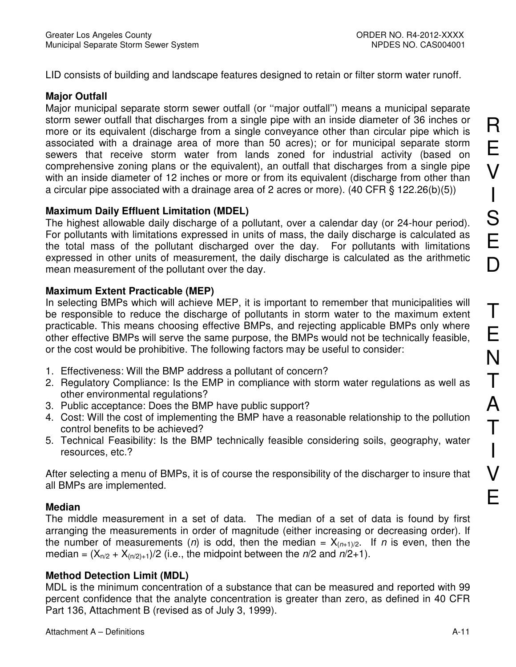LID consists of building and landscape features designed to retain or filter storm water runoff.

### **Major Outfall**

Major municipal separate storm sewer outfall (or ''major outfall'') means a municipal separate storm sewer outfall that discharges from a single pipe with an inside diameter of 36 inches or more or its equivalent (discharge from a single conveyance other than circular pipe which is associated with a drainage area of more than 50 acres); or for municipal separate storm sewers that receive storm water from lands zoned for industrial activity (based on comprehensive zoning plans or the equivalent), an outfall that discharges from a single pipe with an inside diameter of 12 inches or more or from its equivalent (discharge from other than a circular pipe associated with a drainage area of 2 acres or more). (40 CFR § 122.26(b)(5))

### **Maximum Daily Effluent Limitation (MDEL)**

The highest allowable daily discharge of a pollutant, over a calendar day (or 24-hour period). For pollutants with limitations expressed in units of mass, the daily discharge is calculated as the total mass of the pollutant discharged over the day. For pollutants with limitations expressed in other units of measurement, the daily discharge is calculated as the arithmetic mean measurement of the pollutant over the day.

# **Maximum Extent Practicable (MEP)**

In selecting BMPs which will achieve MEP, it is important to remember that municipalities will be responsible to reduce the discharge of pollutants in storm water to the maximum extent practicable. This means choosing effective BMPs, and rejecting applicable BMPs only where other effective BMPs will serve the same purpose, the BMPs would not be technically feasible, or the cost would be prohibitive. The following factors may be useful to consider:

- 1. Effectiveness: Will the BMP address a pollutant of concern?
- 2. Regulatory Compliance: Is the EMP in compliance with storm water regulations as well as other environmental regulations?
- 3. Public acceptance: Does the BMP have public support?
- 4. Cost: Will the cost of implementing the BMP have a reasonable relationship to the pollution control benefits to be achieved?
- 5. Technical Feasibility: Is the BMP technically feasible considering soils, geography, water resources, etc.?

After selecting a menu of BMPs, it is of course the responsibility of the discharger to insure that all BMPs are implemented.

# **Median**

The middle measurement in a set of data. The median of a set of data is found by first arranging the measurements in order of magnitude (either increasing or decreasing order). If the number of measurements (n) is odd, then the median =  $X_{(n+1)/2}$ . If n is even, then the median =  $(X_{n/2} + X_{(n/2)+1})/2$  (i.e., the midpoint between the  $n/2$  and  $n/2+1$ ).

# **Method Detection Limit (MDL)**

MDL is the minimum concentration of a substance that can be measured and reported with 99 percent confidence that the analyte concentration is greater than zero, as defined in 40 CFR Part 136, Attachment B (revised as of July 3, 1999).

R

E

V

I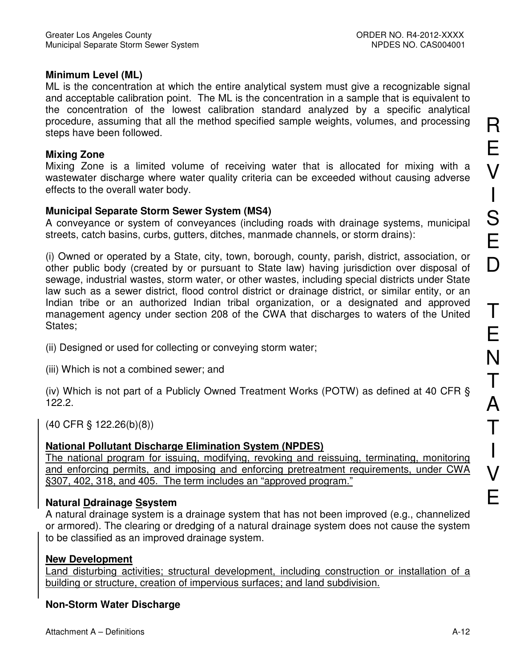I

V

E

#### **Minimum Level (ML)**

ML is the concentration at which the entire analytical system must give a recognizable signal and acceptable calibration point. The ML is the concentration in a sample that is equivalent to the concentration of the lowest calibration standard analyzed by a specific analytical procedure, assuming that all the method specified sample weights, volumes, and processing steps have been followed.

#### **Mixing Zone**

Mixing Zone is a limited volume of receiving water that is allocated for mixing with a wastewater discharge where water quality criteria can be exceeded without causing adverse effects to the overall water body.

#### **Municipal Separate Storm Sewer System (MS4)**

A conveyance or system of conveyances (including roads with drainage systems, municipal streets, catch basins, curbs, gutters, ditches, manmade channels, or storm drains):

(i) Owned or operated by a State, city, town, borough, county, parish, district, association, or other public body (created by or pursuant to State law) having jurisdiction over disposal of sewage, industrial wastes, storm water, or other wastes, including special districts under State law such as a sewer district, flood control district or drainage district, or similar entity, or an Indian tribe or an authorized Indian tribal organization, or a designated and approved management agency under section 208 of the CWA that discharges to waters of the United States;

(ii) Designed or used for collecting or conveying storm water;

(iii) Which is not a combined sewer; and

(iv) Which is not part of a Publicly Owned Treatment Works (POTW) as defined at 40 CFR § 122.2.

(40 CFR § 122.26(b)(8))

#### **National Pollutant Discharge Elimination System (NPDES)**

The national program for issuing, modifying, revoking and reissuing, terminating, monitoring and enforcing permits, and imposing and enforcing pretreatment requirements, under CWA §307, 402, 318, and 405. The term includes an "approved program."

#### **Natural Ddrainage Ssystem**

A natural drainage system is a drainage system that has not been improved (e.g., channelized or armored). The clearing or dredging of a natural drainage system does not cause the system to be classified as an improved drainage system.

#### **New Development**

Land disturbing activities; structural development, including construction or installation of a building or structure, creation of impervious surfaces; and land subdivision.

#### **Non-Storm Water Discharge**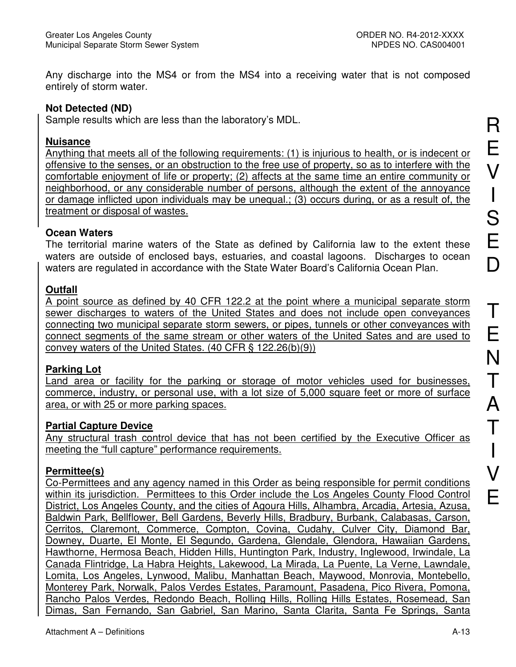Any discharge into the MS4 or from the MS4 into a receiving water that is not composed entirely of storm water.

#### **Not Detected (ND)**

Sample results which are less than the laboratory's MDL.

#### **Nuisance**

Anything that meets all of the following requirements: (1) is injurious to health, or is indecent or offensive to the senses, or an obstruction to the free use of property, so as to interfere with the comfortable enjoyment of life or property; (2) affects at the same time an entire community or neighborhood, or any considerable number of persons, although the extent of the annoyance or damage inflicted upon individuals may be unequal.; (3) occurs during, or as a result of, the treatment or disposal of wastes.

### **Ocean Waters**

The territorial marine waters of the State as defined by California law to the extent these waters are outside of enclosed bays, estuaries, and coastal lagoons. Discharges to ocean waters are regulated in accordance with the State Water Board's California Ocean Plan.

### **Outfall**

A point source as defined by 40 CFR 122.2 at the point where a municipal separate storm sewer discharges to waters of the United States and does not include open conveyances connecting two municipal separate storm sewers, or pipes, tunnels or other conveyances with connect segments of the same stream or other waters of the United Sates and are used to convey waters of the United States. (40 CFR § 122.26(b)(9))

#### **Parking Lot**

Land area or facility for the parking or storage of motor vehicles used for businesses, commerce, industry, or personal use, with a lot size of 5,000 square feet or more of surface area, or with 25 or more parking spaces.

# **Partial Capture Device**

Any structural trash control device that has not been certified by the Executive Officer as meeting the "full capture" performance requirements.

# **Permittee(s)**

Co-Permittees and any agency named in this Order as being responsible for permit conditions within its jurisdiction. Permittees to this Order include the Los Angeles County Flood Control District, Los Angeles County, and the cities of Agoura Hills, Alhambra, Arcadia, Artesia, Azusa, Baldwin Park, Bellflower, Bell Gardens, Beverly Hills, Bradbury, Burbank, Calabasas, Carson, Cerritos, Claremont, Commerce, Compton, Covina, Cudahy, Culver City, Diamond Bar, Downey, Duarte, El Monte, El Segundo, Gardena, Glendale, Glendora, Hawaiian Gardens, Hawthorne, Hermosa Beach, Hidden Hills, Huntington Park, Industry, Inglewood, Irwindale, La Canada Flintridge, La Habra Heights, Lakewood, La Mirada, La Puente, La Verne, Lawndale, Lomita, Los Angeles, Lynwood, Malibu, Manhattan Beach, Maywood, Monrovia, Montebello, Monterey Park, Norwalk, Palos Verdes Estates, Paramount, Pasadena, Pico Rivera, Pomona, Rancho Palos Verdes, Redondo Beach, Rolling Hills, Rolling Hills Estates, Rosemead, San Dimas, San Fernando, San Gabriel, San Marino, Santa Clarita, Santa Fe Springs, Santa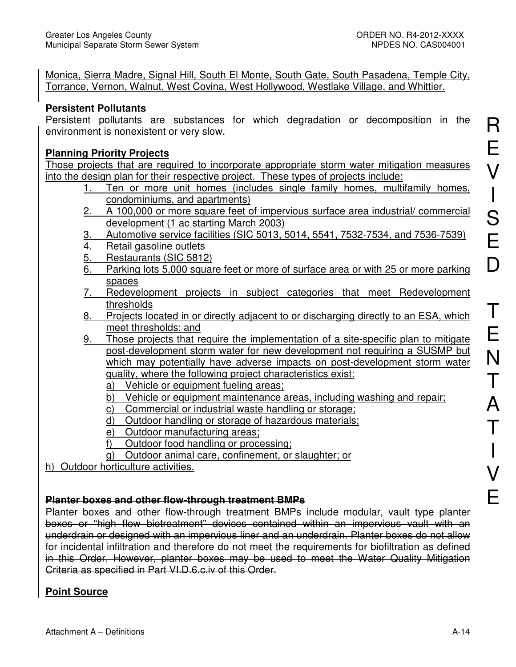Monica, Sierra Madre, Signal Hill, South El Monte, South Gate, South Pasadena, Temple City, Torrance, Vernon, Walnut, West Covina, West Hollywood, Westlake Village, and Whittier.

#### **Persistent Pollutants**

Persistent pollutants are substances for which degradation or decomposition in the environment is nonexistent or very slow.

#### **Planning Priority Projects**

Those projects that are required to incorporate appropriate storm water mitigation measures into the design plan for their respective project. These types of projects include:

- 1. Ten or more unit homes (includes single family homes, multifamily homes, condominiums, and apartments)
- 2. A 100,000 or more square feet of impervious surface area industrial/ commercial development (1 ac starting March 2003)
- 3. Automotive service facilities (SIC 5013, 5014, 5541, 7532-7534, and 7536-7539)
- 4. Retail gasoline outlets
- 5. Restaurants (SIC 5812)
- 6. Parking lots 5,000 square feet or more of surface area or with 25 or more parking spaces
- 7. Redevelopment projects in subject categories that meet Redevelopment thresholds
- 8. Projects located in or directly adjacent to or discharging directly to an ESA, which meet thresholds; and
- 9. Those projects that require the implementation of a site-specific plan to mitigate post-development storm water for new development not requiring a SUSMP but which may potentially have adverse impacts on post-development storm water quality, where the following project characteristics exist:
	- a) Vehicle or equipment fueling areas:
	- b) Vehicle or equipment maintenance areas, including washing and repair;
	- c) Commercial or industrial waste handling or storage;
	- d) Outdoor handling or storage of hazardous materials;
	- e) Outdoor manufacturing areas;
	- f) Outdoor food handling or processing;
	- g) Outdoor animal care, confinement, or slaughter; or
- h) Outdoor horticulture activities.

#### **Planter boxes and other flow-through treatment BMPs**

Planter boxes and other flow-through treatment BMPs include modular, vault type planter boxes or "high flow biotreatment" devices contained within an impervious vault with an underdrain or designed with an impervious liner and an underdrain. Planter boxes do not allow for incidental infiltration and therefore do not meet the requirements for biofiltration as defined in this Order. However, planter boxes may be used to meet the Water Quality Mitigation Criteria as specified in Part VI.D.6.c.iv of this Order.

# **Point Source**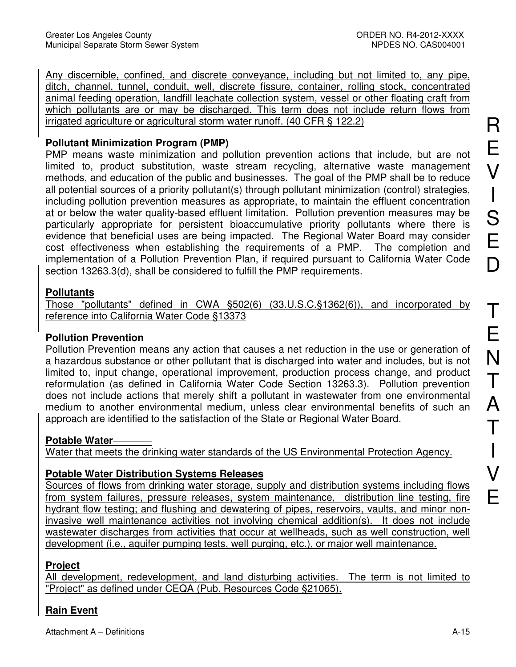Any discernible, confined, and discrete conveyance, including but not limited to, any pipe, ditch, channel, tunnel, conduit, well, discrete fissure, container, rolling stock, concentrated animal feeding operation, landfill leachate collection system, vessel or other floating craft from which pollutants are or may be discharged. This term does not include return flows from irrigated agriculture or agricultural storm water runoff. (40 CFR § 122.2)

# **Pollutant Minimization Program (PMP)**

PMP means waste minimization and pollution prevention actions that include, but are not limited to, product substitution, waste stream recycling, alternative waste management methods, and education of the public and businesses. The goal of the PMP shall be to reduce all potential sources of a priority pollutant(s) through pollutant minimization (control) strategies, including pollution prevention measures as appropriate, to maintain the effluent concentration at or below the water quality-based effluent limitation. Pollution prevention measures may be particularly appropriate for persistent bioaccumulative priority pollutants where there is evidence that beneficial uses are being impacted. The Regional Water Board may consider cost effectiveness when establishing the requirements of a PMP. The completion and implementation of a Pollution Prevention Plan, if required pursuant to California Water Code section 13263.3(d), shall be considered to fulfill the PMP requirements.

### **Pollutants**

Those "pollutants" defined in CWA §502(6) (33.U.S.C.§1362(6)), and incorporated by reference into California Water Code §13373

# **Pollution Prevention**

Pollution Prevention means any action that causes a net reduction in the use or generation of a hazardous substance or other pollutant that is discharged into water and includes, but is not limited to, input change, operational improvement, production process change, and product reformulation (as defined in California Water Code Section 13263.3). Pollution prevention does not include actions that merely shift a pollutant in wastewater from one environmental medium to another environmental medium, unless clear environmental benefits of such an approach are identified to the satisfaction of the State or Regional Water Board.

# **Potable Water**

Water that meets the drinking water standards of the US Environmental Protection Agency.

# **Potable Water Distribution Systems Releases**

Sources of flows from drinking water storage, supply and distribution systems including flows from system failures, pressure releases, system maintenance, distribution line testing, fire hydrant flow testing; and flushing and dewatering of pipes, reservoirs, vaults, and minor noninvasive well maintenance activities not involving chemical addition(s). It does not include wastewater discharges from activities that occur at wellheads, such as well construction, well development (i.e., aquifer pumping tests, well purging, etc.), or major well maintenance.

# **Project**

All development, redevelopment, and land disturbing activities. The term is not limited to "Project" as defined under CEQA (Pub. Resources Code §21065).

# **Rain Event**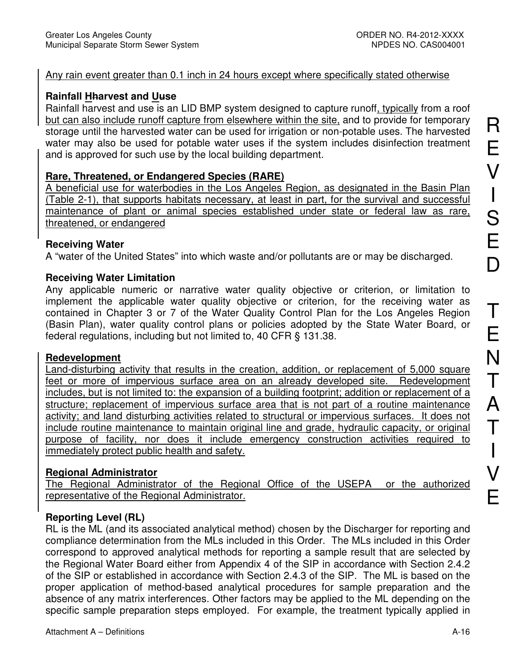#### Any rain event greater than 0.1 inch in 24 hours except where specifically stated otherwise

#### **Rainfall Hharvest and Uuse**

Rainfall harvest and use is an LID BMP system designed to capture runoff, typically from a roof but can also include runoff capture from elsewhere within the site, and to provide for temporary storage until the harvested water can be used for irrigation or non-potable uses. The harvested water may also be used for potable water uses if the system includes disinfection treatment and is approved for such use by the local building department.

### **Rare, Threatened, or Endangered Species (RARE)**

A beneficial use for waterbodies in the Los Angeles Region, as designated in the Basin Plan (Table 2-1), that supports habitats necessary, at least in part, for the survival and successful maintenance of plant or animal species established under state or federal law as rare, threatened, or endangered

#### **Receiving Water**

A "water of the United States" into which waste and/or pollutants are or may be discharged.

#### **Receiving Water Limitation**

Any applicable numeric or narrative water quality objective or criterion, or limitation to implement the applicable water quality objective or criterion, for the receiving water as contained in Chapter 3 or 7 of the Water Quality Control Plan for the Los Angeles Region (Basin Plan), water quality control plans or policies adopted by the State Water Board, or federal regulations, including but not limited to, 40 CFR § 131.38.

#### **Redevelopment**

Land-disturbing activity that results in the creation, addition, or replacement of 5,000 square feet or more of impervious surface area on an already developed site. Redevelopment includes, but is not limited to: the expansion of a building footprint; addition or replacement of a structure; replacement of impervious surface area that is not part of a routine maintenance activity; and land disturbing activities related to structural or impervious surfaces. It does not include routine maintenance to maintain original line and grade, hydraulic capacity, or original purpose of facility, nor does it include emergency construction activities required to immediately protect public health and safety.

#### **Regional Administrator**

The Regional Administrator of the Regional Office of the USEPA or the authorized representative of the Regional Administrator.

#### **Reporting Level (RL)**

RL is the ML (and its associated analytical method) chosen by the Discharger for reporting and compliance determination from the MLs included in this Order. The MLs included in this Order correspond to approved analytical methods for reporting a sample result that are selected by the Regional Water Board either from Appendix 4 of the SIP in accordance with Section 2.4.2 of the SIP or established in accordance with Section 2.4.3 of the SIP. The ML is based on the proper application of method-based analytical procedures for sample preparation and the absence of any matrix interferences. Other factors may be applied to the ML depending on the specific sample preparation steps employed. For example, the treatment typically applied in R

E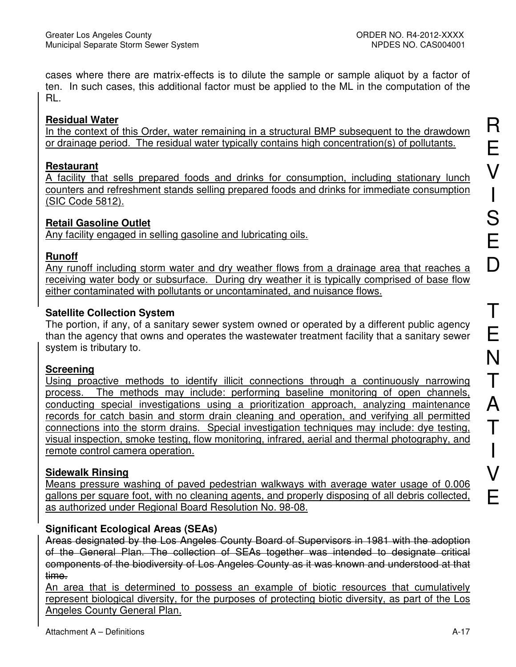cases where there are matrix-effects is to dilute the sample or sample aliquot by a factor of ten. In such cases, this additional factor must be applied to the ML in the computation of the RL.

# **Residual Water**

In the context of this Order, water remaining in a structural BMP subsequent to the drawdown or drainage period. The residual water typically contains high concentration(s) of pollutants.

# **Restaurant**

A facility that sells prepared foods and drinks for consumption, including stationary lunch counters and refreshment stands selling prepared foods and drinks for immediate consumption (SIC Code 5812).

# **Retail Gasoline Outlet**

Any facility engaged in selling gasoline and lubricating oils.

# **Runoff**

Any runoff including storm water and dry weather flows from a drainage area that reaches a receiving water body or subsurface. During dry weather it is typically comprised of base flow either contaminated with pollutants or uncontaminated, and nuisance flows.

# **Satellite Collection System**

The portion, if any, of a sanitary sewer system owned or operated by a different public agency than the agency that owns and operates the wastewater treatment facility that a sanitary sewer system is tributary to.

# **Screening**

Using proactive methods to identify illicit connections through a continuously narrowing process. The methods may include: performing baseline monitoring of open channels, conducting special investigations using a prioritization approach, analyzing maintenance records for catch basin and storm drain cleaning and operation, and verifying all permitted connections into the storm drains. Special investigation techniques may include: dye testing, visual inspection, smoke testing, flow monitoring, infrared, aerial and thermal photography, and remote control camera operation.

# **Sidewalk Rinsing**

Means pressure washing of paved pedestrian walkways with average water usage of 0.006 gallons per square foot, with no cleaning agents, and properly disposing of all debris collected, as authorized under Regional Board Resolution No. 98-08.

# **Significant Ecological Areas (SEAs)**

Areas designated by the Los Angeles County Board of Supervisors in 1981 with the adoption of the General Plan. The collection of SEAs together was intended to designate critical components of the biodiversity of Los Angeles County as it was known and understood at that time.

An area that is determined to possess an example of biotic resources that cumulatively represent biological diversity, for the purposes of protecting biotic diversity, as part of the Los Angeles County General Plan.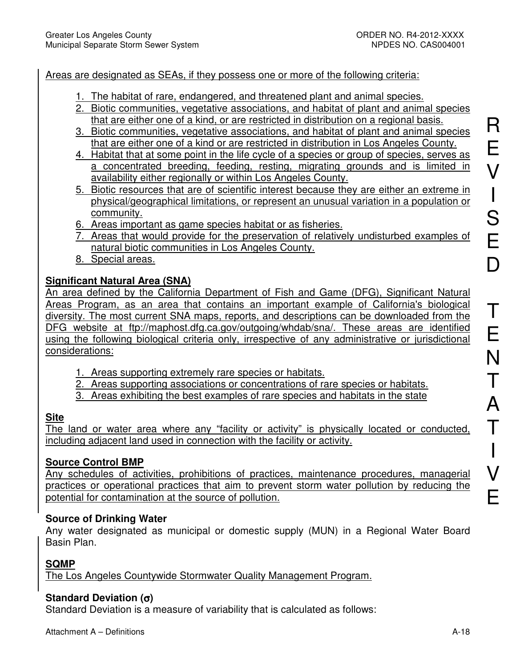#### Areas are designated as SEAs, if they possess one or more of the following criteria:

- 1. The habitat of rare, endangered, and threatened plant and animal species.
- 2. Biotic communities, vegetative associations, and habitat of plant and animal species that are either one of a kind, or are restricted in distribution on a regional basis.
- 3. Biotic communities, vegetative associations, and habitat of plant and animal species that are either one of a kind or are restricted in distribution in Los Angeles County.
- 4. Habitat that at some point in the life cycle of a species or group of species, serves as a concentrated breeding, feeding, resting, migrating grounds and is limited in availability either regionally or within Los Angeles County.
- 5. Biotic resources that are of scientific interest because they are either an extreme in physical/geographical limitations, or represent an unusual variation in a population or community.
- 6. Areas important as game species habitat or as fisheries.
- 7. Areas that would provide for the preservation of relatively undisturbed examples of natural biotic communities in Los Angeles County.
- 8. Special areas.

### **Significant Natural Area (SNA)**

An area defined by the California Department of Fish and Game (DFG), Significant Natural Areas Program, as an area that contains an important example of California's biological diversity. The most current SNA maps, reports, and descriptions can be downloaded from the DFG website at ftp://maphost.dfg.ca.gov/outgoing/whdab/sna/. These areas are identified using the following biological criteria only, irrespective of any administrative or jurisdictional considerations:

- 1. Areas supporting extremely rare species or habitats.
- 2. Areas supporting associations or concentrations of rare species or habitats.
- 3. Areas exhibiting the best examples of rare species and habitats in the state

#### **Site**

The land or water area where any "facility or activity" is physically located or conducted, including adjacent land used in connection with the facility or activity.

#### **Source Control BMP**

Any schedules of activities, prohibitions of practices, maintenance procedures, managerial practices or operational practices that aim to prevent storm water pollution by reducing the potential for contamination at the source of pollution.

#### **Source of Drinking Water**

Any water designated as municipal or domestic supply (MUN) in a Regional Water Board Basin Plan.

#### **SQMP**

The Los Angeles Countywide Stormwater Quality Management Program.

#### **Standard Deviation (**σ**)**

Standard Deviation is a measure of variability that is calculated as follows: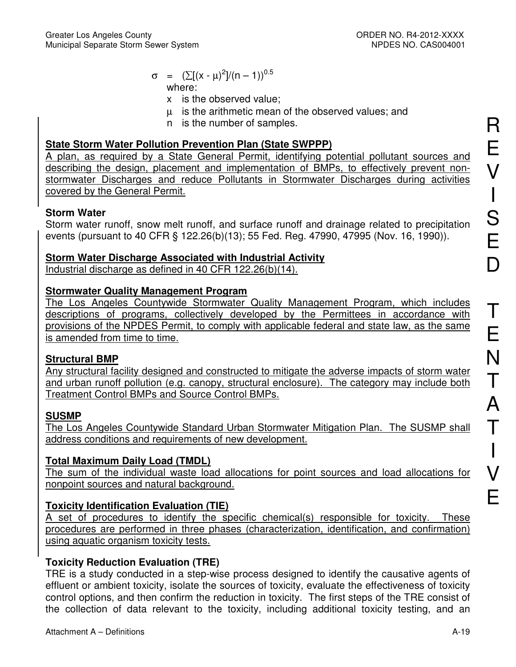- $\sigma = (\sum (x \mu)^2]/(n 1))^{0.5}$ where:
	- x is the observed value;
	- µ is the arithmetic mean of the observed values; and
	- n is the number of samples.

# **State Storm Water Pollution Prevention Plan (State SWPPP)**

A plan, as required by a State General Permit, identifying potential pollutant sources and describing the design, placement and implementation of BMPs, to effectively prevent nonstormwater Discharges and reduce Pollutants in Stormwater Discharges during activities covered by the General Permit.

# **Storm Water**

Storm water runoff, snow melt runoff, and surface runoff and drainage related to precipitation events (pursuant to 40 CFR § 122.26(b)(13); 55 Fed. Reg. 47990, 47995 (Nov. 16, 1990)).

# **Storm Water Discharge Associated with Industrial Activity**

Industrial discharge as defined in 40 CFR 122.26(b)(14).

# **Stormwater Quality Management Program**

The Los Angeles Countywide Stormwater Quality Management Program, which includes descriptions of programs, collectively developed by the Permittees in accordance with provisions of the NPDES Permit, to comply with applicable federal and state law, as the same is amended from time to time.

# **Structural BMP**

Any structural facility designed and constructed to mitigate the adverse impacts of storm water and urban runoff pollution (e.g. canopy, structural enclosure). The category may include both Treatment Control BMPs and Source Control BMPs.

# **SUSMP**

The Los Angeles Countywide Standard Urban Stormwater Mitigation Plan. The SUSMP shall address conditions and requirements of new development.

# **Total Maximum Daily Load (TMDL)**

The sum of the individual waste load allocations for point sources and load allocations for nonpoint sources and natural background.

# **Toxicity Identification Evaluation (TIE)**

A set of procedures to identify the specific chemical(s) responsible for toxicity. These procedures are performed in three phases (characterization, identification, and confirmation) using aquatic organism toxicity tests.

# **Toxicity Reduction Evaluation (TRE)**

TRE is a study conducted in a step-wise process designed to identify the causative agents of effluent or ambient toxicity, isolate the sources of toxicity, evaluate the effectiveness of toxicity control options, and then confirm the reduction in toxicity. The first steps of the TRE consist of the collection of data relevant to the toxicity, including additional toxicity testing, and an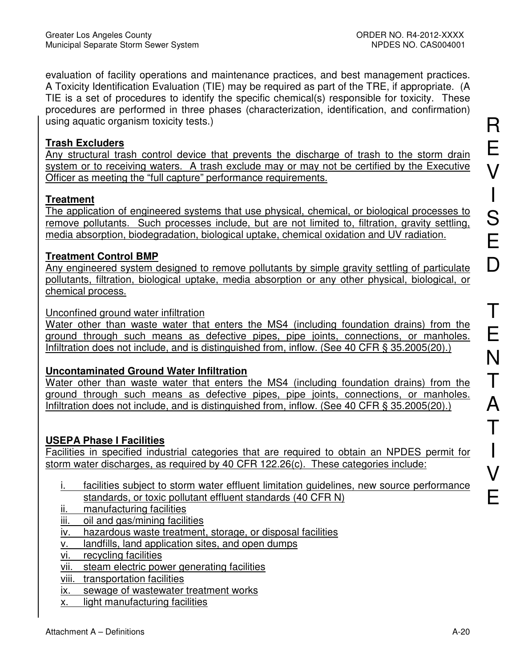evaluation of facility operations and maintenance practices, and best management practices. A Toxicity Identification Evaluation (TIE) may be required as part of the TRE, if appropriate. (A TIE is a set of procedures to identify the specific chemical(s) responsible for toxicity. These procedures are performed in three phases (characterization, identification, and confirmation) using aquatic organism toxicity tests.)

### **Trash Excluders**

Any structural trash control device that prevents the discharge of trash to the storm drain system or to receiving waters. A trash exclude may or may not be certified by the Executive Officer as meeting the "full capture" performance requirements.

# **Treatment**

The application of engineered systems that use physical, chemical, or biological processes to remove pollutants. Such processes include, but are not limited to, filtration, gravity settling, media absorption, biodegradation, biological uptake, chemical oxidation and UV radiation.

# **Treatment Control BMP**

Any engineered system designed to remove pollutants by simple gravity settling of particulate pollutants, filtration, biological uptake, media absorption or any other physical, biological, or chemical process.

### Unconfined ground water infiltration

Water other than waste water that enters the MS4 (including foundation drains) from the ground through such means as defective pipes, pipe joints, connections, or manholes. Infiltration does not include, and is distinguished from, inflow. (See 40 CFR § 35.2005(20).)

# **Uncontaminated Ground Water Infiltration**

Water other than waste water that enters the MS4 (including foundation drains) from the ground through such means as defective pipes, pipe joints, connections, or manholes. Infiltration does not include, and is distinguished from, inflow. (See 40 CFR § 35.2005(20).)

# **USEPA Phase I Facilities**

Facilities in specified industrial categories that are required to obtain an NPDES permit for storm water discharges, as required by 40 CFR 122.26(c). These categories include:

- i. facilities subject to storm water effluent limitation guidelines, new source performance standards, or toxic pollutant effluent standards (40 CFR N)
- ii. manufacturing facilities
- iii. oil and gas/mining facilities
- iv. hazardous waste treatment, storage, or disposal facilities
- v. landfills, land application sites, and open dumps
- vi. recycling facilities
- vii. steam electric power generating facilities
- viii. transportation facilities
- ix. sewage of wastewater treatment works
- x. light manufacturing facilities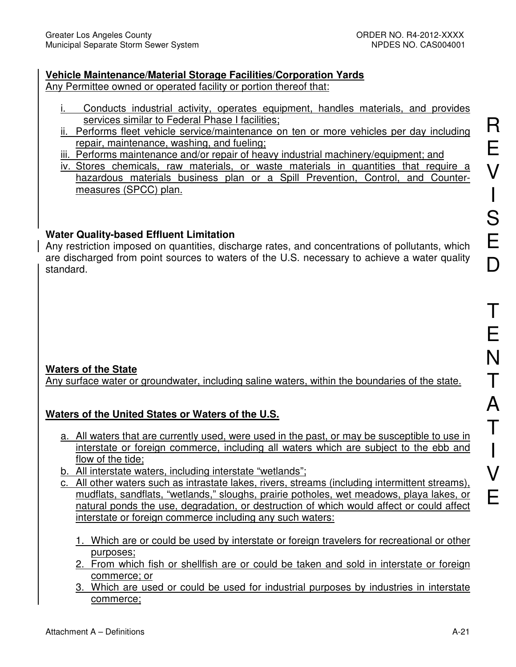# **Vehicle Maintenance/Material Storage Facilities/Corporation Yards**

Any Permittee owned or operated facility or portion thereof that:

- i. Conducts industrial activity, operates equipment, handles materials, and provides services similar to Federal Phase I facilities;
- ii. Performs fleet vehicle service/maintenance on ten or more vehicles per day including repair, maintenance, washing, and fueling;
- iii. Performs maintenance and/or repair of heavy industrial machinery/equipment; and
- iv. Stores chemicals, raw materials, or waste materials in quantities that require a hazardous materials business plan or a Spill Prevention, Control, and Countermeasures (SPCC) plan.

# **Water Quality-based Effluent Limitation**

Any restriction imposed on quantities, discharge rates, and concentrations of pollutants, which are discharged from point sources to waters of the U.S. necessary to achieve a water quality standard.

# **Waters of the State**

Any surface water or groundwater, including saline waters, within the boundaries of the state.

# **Waters of the United States or Waters of the U.S.**

- a. All waters that are currently used, were used in the past, or may be susceptible to use in interstate or foreign commerce, including all waters which are subject to the ebb and flow of the tide;
- b. All interstate waters, including interstate "wetlands";
- c. All other waters such as intrastate lakes, rivers, streams (including intermittent streams), mudflats, sandflats, "wetlands," sloughs, prairie potholes, wet meadows, playa lakes, or natural ponds the use, degradation, or destruction of which would affect or could affect interstate or foreign commerce including any such waters:
	- 1. Which are or could be used by interstate or foreign travelers for recreational or other purposes;
	- 2. From which fish or shellfish are or could be taken and sold in interstate or foreign commerce; or
	- 3. Which are used or could be used for industrial purposes by industries in interstate commerce;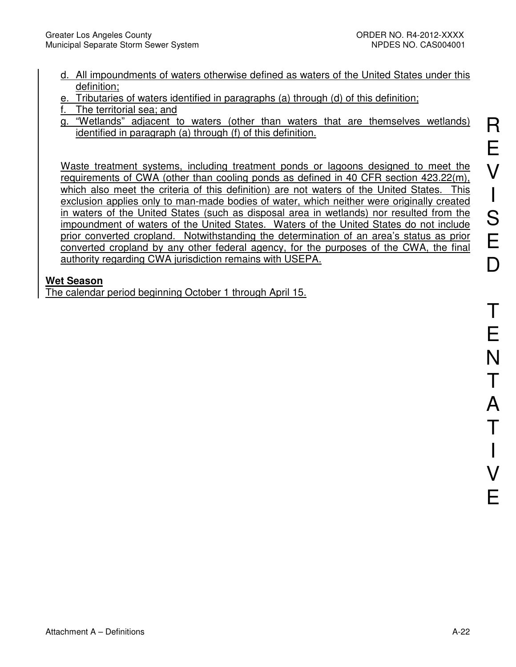- d. All impoundments of waters otherwise defined as waters of the United States under this definition;
- e. Tributaries of waters identified in paragraphs (a) through (d) of this definition;
- f. The territorial sea; and
- g. "Wetlands" adjacent to waters (other than waters that are themselves wetlands) identified in paragraph (a) through (f) of this definition.

Waste treatment systems, including treatment ponds or lagoons designed to meet the requirements of CWA (other than cooling ponds as defined in 40 CFR section 423.22(m), which also meet the criteria of this definition) are not waters of the United States. This exclusion applies only to man-made bodies of water, which neither were originally created in waters of the United States (such as disposal area in wetlands) nor resulted from the impoundment of waters of the United States. Waters of the United States do not include prior converted cropland. Notwithstanding the determination of an area's status as prior converted cropland by any other federal agency, for the purposes of the CWA, the final authority regarding CWA jurisdiction remains with USEPA.

# **Wet Season**

The calendar period beginning October 1 through April 15.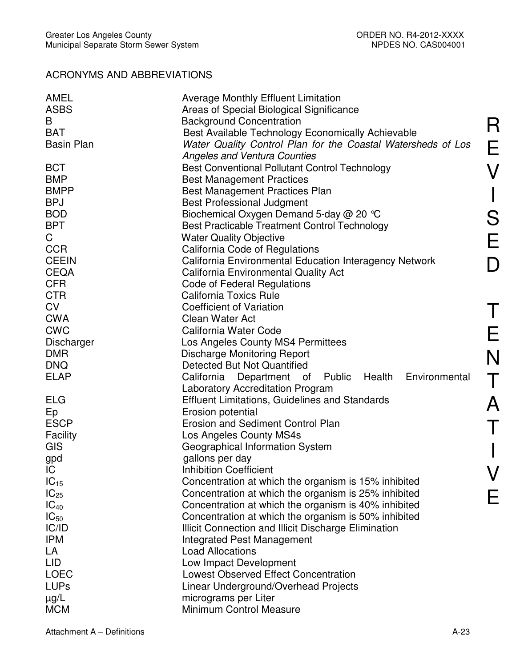# ACRONYMS AND ABBREVIATIONS

| <b>ASBS</b><br>Areas of Special Biological Significance<br><b>Background Concentration</b><br>B<br><b>BAT</b><br>Best Available Technology Economically Achievable<br><b>Basin Plan</b><br>Water Quality Control Plan for the Coastal Watersheds of Los<br><b>Angeles and Ventura Counties</b><br><b>BCT</b><br><b>Best Conventional Pollutant Control Technology</b><br><b>BMP</b><br><b>Best Management Practices</b><br><b>BMPP</b><br><b>Best Management Practices Plan</b><br><b>BPJ</b><br><b>Best Professional Judgment</b><br><b>BOD</b><br>Biochemical Oxygen Demand 5-day @ 20 °C<br><b>BPT</b><br>Best Practicable Treatment Control Technology<br>C.<br><b>Water Quality Objective</b><br><b>CCR</b><br>California Code of Regulations<br><b>CEEIN</b><br>California Environmental Education Interagency Network<br><b>CEQA</b><br><b>California Environmental Quality Act</b><br><b>CFR</b><br>Code of Federal Regulations |
|-----------------------------------------------------------------------------------------------------------------------------------------------------------------------------------------------------------------------------------------------------------------------------------------------------------------------------------------------------------------------------------------------------------------------------------------------------------------------------------------------------------------------------------------------------------------------------------------------------------------------------------------------------------------------------------------------------------------------------------------------------------------------------------------------------------------------------------------------------------------------------------------------------------------------------------------|
|                                                                                                                                                                                                                                                                                                                                                                                                                                                                                                                                                                                                                                                                                                                                                                                                                                                                                                                                         |
|                                                                                                                                                                                                                                                                                                                                                                                                                                                                                                                                                                                                                                                                                                                                                                                                                                                                                                                                         |
|                                                                                                                                                                                                                                                                                                                                                                                                                                                                                                                                                                                                                                                                                                                                                                                                                                                                                                                                         |
|                                                                                                                                                                                                                                                                                                                                                                                                                                                                                                                                                                                                                                                                                                                                                                                                                                                                                                                                         |
|                                                                                                                                                                                                                                                                                                                                                                                                                                                                                                                                                                                                                                                                                                                                                                                                                                                                                                                                         |
|                                                                                                                                                                                                                                                                                                                                                                                                                                                                                                                                                                                                                                                                                                                                                                                                                                                                                                                                         |
|                                                                                                                                                                                                                                                                                                                                                                                                                                                                                                                                                                                                                                                                                                                                                                                                                                                                                                                                         |
|                                                                                                                                                                                                                                                                                                                                                                                                                                                                                                                                                                                                                                                                                                                                                                                                                                                                                                                                         |
|                                                                                                                                                                                                                                                                                                                                                                                                                                                                                                                                                                                                                                                                                                                                                                                                                                                                                                                                         |
|                                                                                                                                                                                                                                                                                                                                                                                                                                                                                                                                                                                                                                                                                                                                                                                                                                                                                                                                         |
|                                                                                                                                                                                                                                                                                                                                                                                                                                                                                                                                                                                                                                                                                                                                                                                                                                                                                                                                         |
|                                                                                                                                                                                                                                                                                                                                                                                                                                                                                                                                                                                                                                                                                                                                                                                                                                                                                                                                         |
|                                                                                                                                                                                                                                                                                                                                                                                                                                                                                                                                                                                                                                                                                                                                                                                                                                                                                                                                         |
|                                                                                                                                                                                                                                                                                                                                                                                                                                                                                                                                                                                                                                                                                                                                                                                                                                                                                                                                         |
|                                                                                                                                                                                                                                                                                                                                                                                                                                                                                                                                                                                                                                                                                                                                                                                                                                                                                                                                         |
|                                                                                                                                                                                                                                                                                                                                                                                                                                                                                                                                                                                                                                                                                                                                                                                                                                                                                                                                         |
| <b>CTR</b><br><b>California Toxics Rule</b>                                                                                                                                                                                                                                                                                                                                                                                                                                                                                                                                                                                                                                                                                                                                                                                                                                                                                             |
| <b>CV</b><br><b>Coefficient of Variation</b>                                                                                                                                                                                                                                                                                                                                                                                                                                                                                                                                                                                                                                                                                                                                                                                                                                                                                            |
| <b>CWA</b><br><b>Clean Water Act</b>                                                                                                                                                                                                                                                                                                                                                                                                                                                                                                                                                                                                                                                                                                                                                                                                                                                                                                    |
| <b>CWC</b><br>California Water Code                                                                                                                                                                                                                                                                                                                                                                                                                                                                                                                                                                                                                                                                                                                                                                                                                                                                                                     |
| Los Angeles County MS4 Permittees<br>Discharger                                                                                                                                                                                                                                                                                                                                                                                                                                                                                                                                                                                                                                                                                                                                                                                                                                                                                         |
| <b>Discharge Monitoring Report</b><br><b>DMR</b>                                                                                                                                                                                                                                                                                                                                                                                                                                                                                                                                                                                                                                                                                                                                                                                                                                                                                        |
| <b>DNQ</b><br>Detected But Not Quantified                                                                                                                                                                                                                                                                                                                                                                                                                                                                                                                                                                                                                                                                                                                                                                                                                                                                                               |
| <b>ELAP</b><br>California Department of Public Health<br>Environmental                                                                                                                                                                                                                                                                                                                                                                                                                                                                                                                                                                                                                                                                                                                                                                                                                                                                  |
| <b>Laboratory Accreditation Program</b>                                                                                                                                                                                                                                                                                                                                                                                                                                                                                                                                                                                                                                                                                                                                                                                                                                                                                                 |
| <b>ELG</b><br><b>Effluent Limitations, Guidelines and Standards</b>                                                                                                                                                                                                                                                                                                                                                                                                                                                                                                                                                                                                                                                                                                                                                                                                                                                                     |
| Erosion potential<br>Ep                                                                                                                                                                                                                                                                                                                                                                                                                                                                                                                                                                                                                                                                                                                                                                                                                                                                                                                 |
| <b>ESCP</b><br>Erosion and Sediment Control Plan                                                                                                                                                                                                                                                                                                                                                                                                                                                                                                                                                                                                                                                                                                                                                                                                                                                                                        |
| Facility<br>Los Angeles County MS4s                                                                                                                                                                                                                                                                                                                                                                                                                                                                                                                                                                                                                                                                                                                                                                                                                                                                                                     |
| <b>GIS</b><br>Geographical Information System                                                                                                                                                                                                                                                                                                                                                                                                                                                                                                                                                                                                                                                                                                                                                                                                                                                                                           |
| gallons per day<br>gpd                                                                                                                                                                                                                                                                                                                                                                                                                                                                                                                                                                                                                                                                                                                                                                                                                                                                                                                  |
| <b>Inhibition Coefficient</b><br>IC                                                                                                                                                                                                                                                                                                                                                                                                                                                                                                                                                                                                                                                                                                                                                                                                                                                                                                     |
| $IC_{15}$<br>Concentration at which the organism is 15% inhibited                                                                                                                                                                                                                                                                                                                                                                                                                                                                                                                                                                                                                                                                                                                                                                                                                                                                       |
| $IC_{25}$<br>Concentration at which the organism is 25% inhibited                                                                                                                                                                                                                                                                                                                                                                                                                                                                                                                                                                                                                                                                                                                                                                                                                                                                       |
| $IC_{40}$<br>Concentration at which the organism is 40% inhibited                                                                                                                                                                                                                                                                                                                                                                                                                                                                                                                                                                                                                                                                                                                                                                                                                                                                       |
| $IC_{50}$<br>Concentration at which the organism is 50% inhibited                                                                                                                                                                                                                                                                                                                                                                                                                                                                                                                                                                                                                                                                                                                                                                                                                                                                       |
| IC/ID<br>Illicit Connection and Illicit Discharge Elimination                                                                                                                                                                                                                                                                                                                                                                                                                                                                                                                                                                                                                                                                                                                                                                                                                                                                           |
| <b>IPM</b><br><b>Integrated Pest Management</b>                                                                                                                                                                                                                                                                                                                                                                                                                                                                                                                                                                                                                                                                                                                                                                                                                                                                                         |
| LA<br><b>Load Allocations</b>                                                                                                                                                                                                                                                                                                                                                                                                                                                                                                                                                                                                                                                                                                                                                                                                                                                                                                           |
| <b>LID</b><br>Low Impact Development                                                                                                                                                                                                                                                                                                                                                                                                                                                                                                                                                                                                                                                                                                                                                                                                                                                                                                    |
| <b>LOEC</b><br><b>Lowest Observed Effect Concentration</b>                                                                                                                                                                                                                                                                                                                                                                                                                                                                                                                                                                                                                                                                                                                                                                                                                                                                              |
| <b>LUPs</b><br>Linear Underground/Overhead Projects                                                                                                                                                                                                                                                                                                                                                                                                                                                                                                                                                                                                                                                                                                                                                                                                                                                                                     |
| $\mu$ g/L<br>micrograms per Liter                                                                                                                                                                                                                                                                                                                                                                                                                                                                                                                                                                                                                                                                                                                                                                                                                                                                                                       |
| Minimum Control Measure<br><b>MCM</b>                                                                                                                                                                                                                                                                                                                                                                                                                                                                                                                                                                                                                                                                                                                                                                                                                                                                                                   |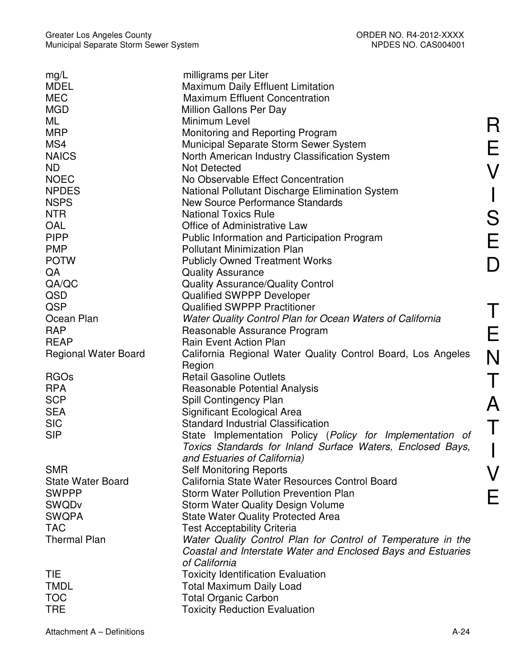| mg/L                        | milligrams per Liter                                         |
|-----------------------------|--------------------------------------------------------------|
| <b>MDEL</b>                 | <b>Maximum Daily Effluent Limitation</b>                     |
| <b>MEC</b>                  | <b>Maximum Effluent Concentration</b>                        |
| <b>MGD</b>                  | Million Gallons Per Day                                      |
| ML                          | Minimum Level                                                |
| <b>MRP</b>                  | Monitoring and Reporting Program                             |
| MS4                         | Municipal Separate Storm Sewer System                        |
| <b>NAICS</b>                | North American Industry Classification System                |
| ND.                         | <b>Not Detected</b>                                          |
| <b>NOEC</b>                 | No Observable Effect Concentration                           |
| <b>NPDES</b>                |                                                              |
|                             | National Pollutant Discharge Elimination System              |
| <b>NSPS</b>                 | <b>New Source Performance Standards</b>                      |
| <b>NTR</b>                  | <b>National Toxics Rule</b>                                  |
| <b>OAL</b>                  | Office of Administrative Law                                 |
| <b>PIPP</b>                 | <b>Public Information and Participation Program</b>          |
| <b>PMP</b>                  | <b>Pollutant Minimization Plan</b>                           |
| <b>POTW</b>                 | <b>Publicly Owned Treatment Works</b>                        |
| QA                          | <b>Quality Assurance</b>                                     |
| QA/QC                       | <b>Quality Assurance/Quality Control</b>                     |
| QSD                         | <b>Qualified SWPPP Developer</b>                             |
| QSP                         | <b>Qualified SWPPP Practitioner</b>                          |
| Ocean Plan                  | Water Quality Control Plan for Ocean Waters of California    |
| <b>RAP</b>                  | Reasonable Assurance Program                                 |
| <b>REAP</b>                 | <b>Rain Event Action Plan</b>                                |
| <b>Regional Water Board</b> | California Regional Water Quality Control Board, Los Angeles |
|                             | Region                                                       |
| <b>RGOs</b>                 | <b>Retail Gasoline Outlets</b>                               |
| <b>RPA</b>                  | <b>Reasonable Potential Analysis</b>                         |
| <b>SCP</b>                  | Spill Contingency Plan                                       |
| <b>SEA</b>                  | Significant Ecological Area                                  |
| <b>SIC</b>                  | <b>Standard Industrial Classification</b>                    |
| <b>SIP</b>                  | State Implementation Policy (Policy for Implementation of    |
|                             | Toxics Standards for Inland Surface Waters, Enclosed Bays,   |
|                             | and Estuaries of California)                                 |
| <b>SMR</b>                  |                                                              |
|                             | <b>Self Monitoring Reports</b>                               |
| <b>State Water Board</b>    | California State Water Resources Control Board               |
| <b>SWPPP</b>                | <b>Storm Water Pollution Prevention Plan</b>                 |
| <b>SWQDv</b>                | <b>Storm Water Quality Design Volume</b>                     |
| <b>SWQPA</b>                | <b>State Water Quality Protected Area</b>                    |
| <b>TAC</b>                  | <b>Test Acceptability Criteria</b>                           |
| <b>Thermal Plan</b>         | Water Quality Control Plan for Control of Temperature in the |
|                             | Coastal and Interstate Water and Enclosed Bays and Estuaries |
|                             | of California                                                |
| <b>TIE</b>                  | <b>Toxicity Identification Evaluation</b>                    |
| <b>TMDL</b>                 | <b>Total Maximum Daily Load</b>                              |
| <b>TOC</b>                  | <b>Total Organic Carbon</b>                                  |
| <b>TRE</b>                  | <b>Toxicity Reduction Evaluation</b>                         |

R